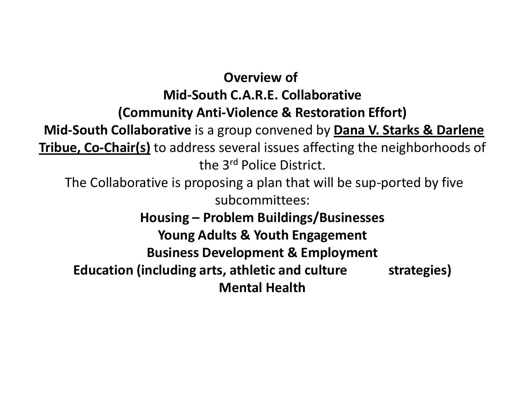### **Overview of Mid-South C.A.R.E. Collaborative (Community Anti-Violence & Restoration Effort)**

**Mid-South Collaborative** is a group convened by **Dana V. Starks & Darlene Tribue, Co-Chair(s)** to address several issues affecting the neighborhoods of the 3rd Police District. The Collaborative is proposing a plan that will be sup-ported by five subcommittees: **Housing – Problem Buildings/Businesses Young Adults & Youth Engagement Business Development & Employment**

**Education (including arts, athletic and culture strategies) Mental Health**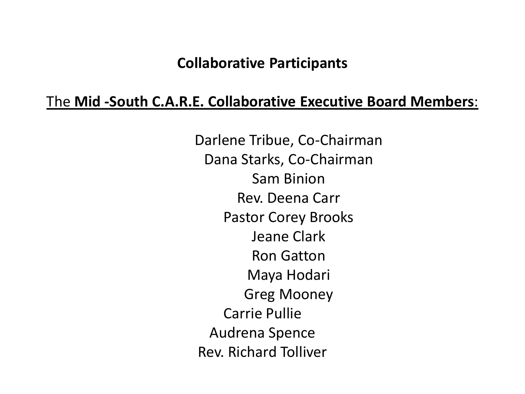### The **Mid -South C.A.R.E. Collaborative Executive Board Members**:

 Darlene Tribue, Co-Chairman Dana Starks, Co-Chairman Sam Binion Rev. Deena Carr Pastor Corey Brooks Jeane Clark Ron Gatton Maya Hodari Greg Mooney Carrie Pullie Audrena Spence Rev. Richard Tolliver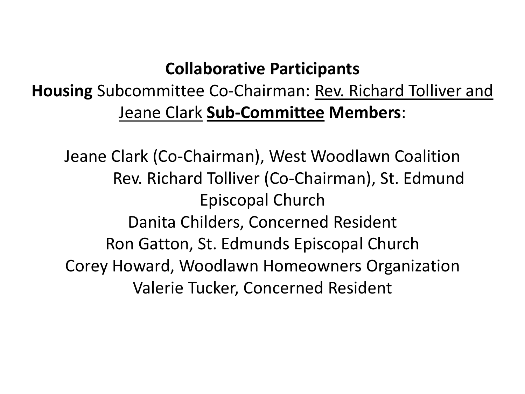## **Housing** Subcommittee Co-Chairman: Rev. Richard Tolliver and Jeane Clark **Sub-Committee Members**:

Jeane Clark (Co-Chairman), West Woodlawn Coalition Rev. Richard Tolliver (Co-Chairman), St. Edmund Episcopal Church Danita Childers, Concerned Resident Ron Gatton, St. Edmunds Episcopal Church Corey Howard, Woodlawn Homeowners Organization Valerie Tucker, Concerned Resident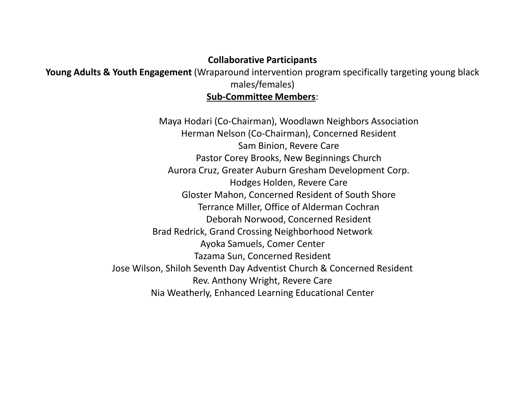**Young Adults & Youth Engagement** (Wraparound intervention program specifically targeting young black males/females)

#### **Sub-Committee Members**:

Maya Hodari (Co-Chairman), Woodlawn Neighbors Association Herman Nelson (Co-Chairman), Concerned Resident Sam Binion, Revere Care Pastor Corey Brooks, New Beginnings Church Aurora Cruz, Greater Auburn Gresham Development Corp. Hodges Holden, Revere Care Gloster Mahon, Concerned Resident of South Shore Terrance Miller, Office of Alderman Cochran Deborah Norwood, Concerned Resident Brad Redrick, Grand Crossing Neighborhood Network Ayoka Samuels, Comer Center Tazama Sun, Concerned Resident Jose Wilson, Shiloh Seventh Day Adventist Church & Concerned Resident Rev. Anthony Wright, Revere Care Nia Weatherly, Enhanced Learning Educational Center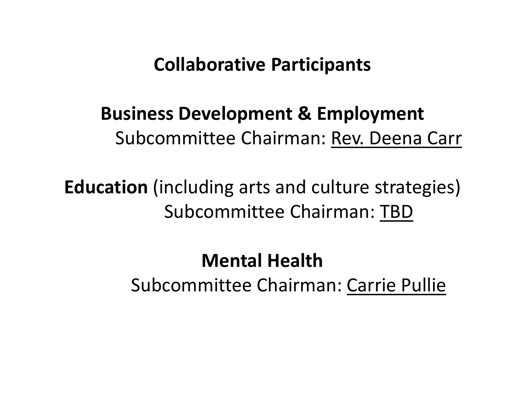## **Business Development & Employment** Subcommittee Chairman: Rev. Deena Carr

**Education** (including arts and culture strategies) Subcommittee Chairman: TBD

# **Mental Health** Subcommittee Chairman: Carrie Pullie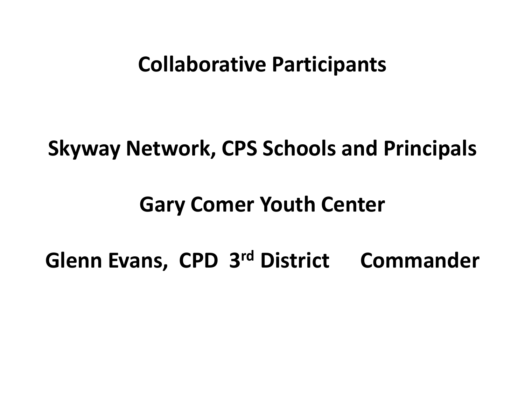## **Skyway Network, CPS Schools and Principals**

# **Gary Comer Youth Center**

**Glenn Evans, CPD 3rd District Commander**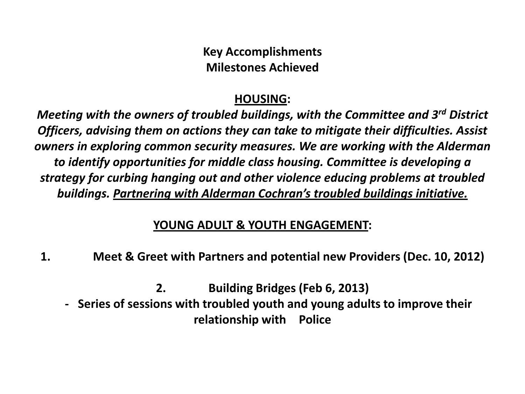**Key Accomplishments Milestones Achieved**

#### **HOUSING:**

*Meeting with the owners of troubled buildings, with the Committee and 3rd District Officers, advising them on actions they can take to mitigate their difficulties. Assist owners in exploring common security measures. We are working with the Alderman to identify opportunities for middle class housing. Committee is developing a strategy for curbing hanging out and other violence educing problems at troubled buildings. Partnering with Alderman Cochran's troubled buildings initiative.* 

#### **YOUNG ADULT & YOUTH ENGAGEMENT:**

**1. Meet & Greet with Partners and potential new Providers (Dec. 10, 2012)**

**2. Building Bridges (Feb 6, 2013) - Series of sessions with troubled youth and young adults to improve their relationship with Police**